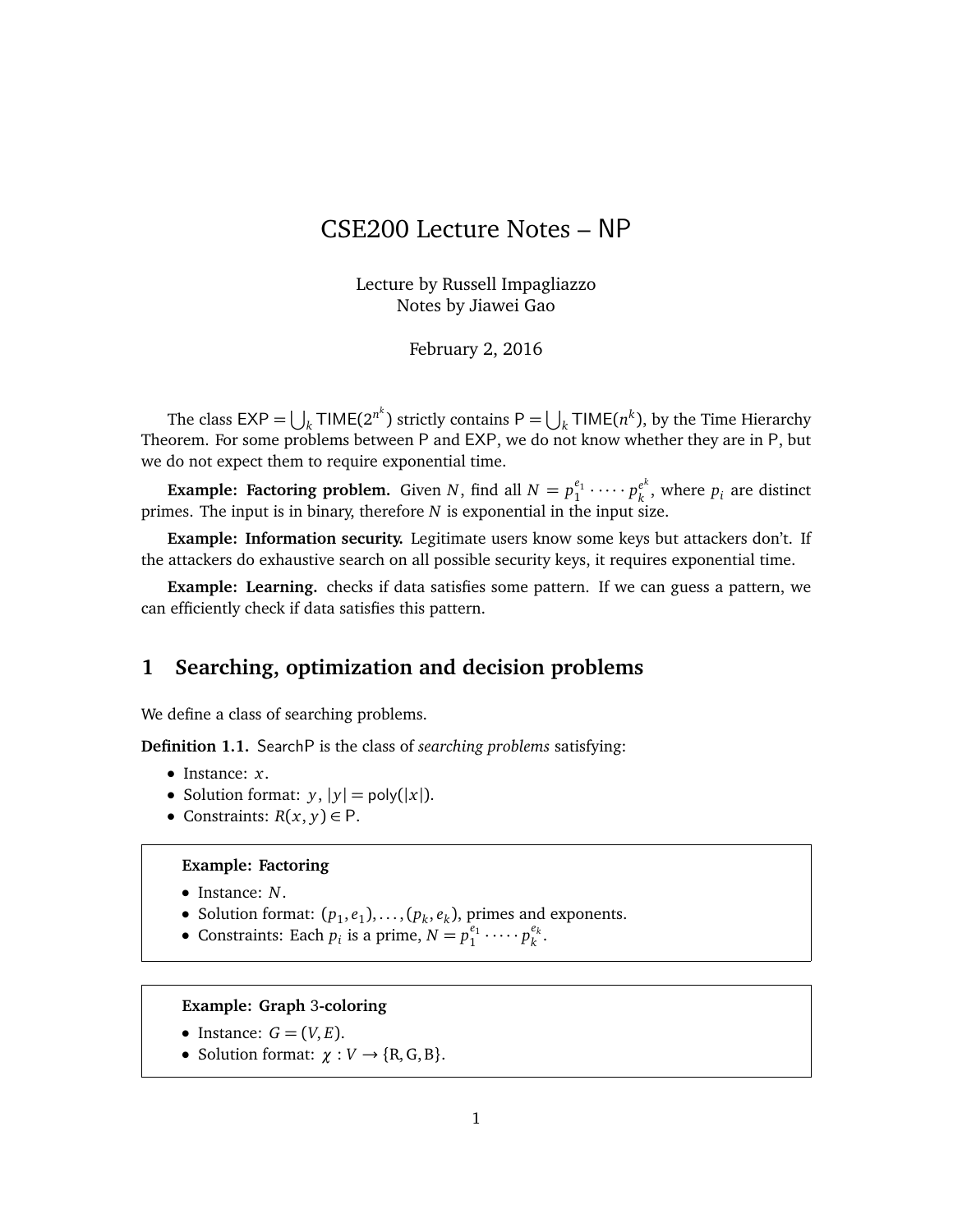# CSE200 Lecture Notes – NP

Lecture by Russell Impagliazzo Notes by Jiawei Gao

February 2, 2016

The class  $\mathsf{EXP}=\bigcup_{k}\mathsf{TIME}(2^{n^k})$  strictly contains  $\mathsf{P}=\bigcup_{k}\mathsf{TIME}(n^k)$ , by the Time Hierarchy Theorem. For some problems between P and EXP, we do not know whether they are in P, but we do not expect them to require exponential time.

**Example: Factoring problem.** Given *N*, find all  $N = p_1^{e_1}$  $p_k^{e_1} \cdot \cdots \cdot p_k^{e^k}$  $\binom{e^k}{k}$ , where  $p_i$  are distinct primes. The input is in binary, therefore *N* is exponential in the input size.

**Example: Information security.** Legitimate users know some keys but attackers don't. If the attackers do exhaustive search on all possible security keys, it requires exponential time.

**Example: Learning.** checks if data satisfies some pattern. If we can guess a pattern, we can efficiently check if data satisfies this pattern.

# **1 Searching, optimization and decision problems**

We define a class of searching problems.

**Definition 1.1.** SearchP is the class of *searching problems* satisfying:

- Instance: *x*.
- Solution format:  $y$ ,  $|y| = poly(|x|)$ .
- Constraints:  $R(x, y) \in P$ .

#### **Example: Factoring**

- Instance: *N*.
- Solution format:  $(p_1, e_1), \ldots, (p_k, e_k)$ , primes and exponents.
- Constraints: Each  $p_i$  is a prime,  $N = p_1^{e_1}$  $p_k^{e_1} \cdots p_k^{e_k}$ *k* .

# **Example: Graph** 3**-coloring**

- Instance:  $G = (V, E)$ .
- Solution format:  $\gamma : V \to \{R, G, B\}.$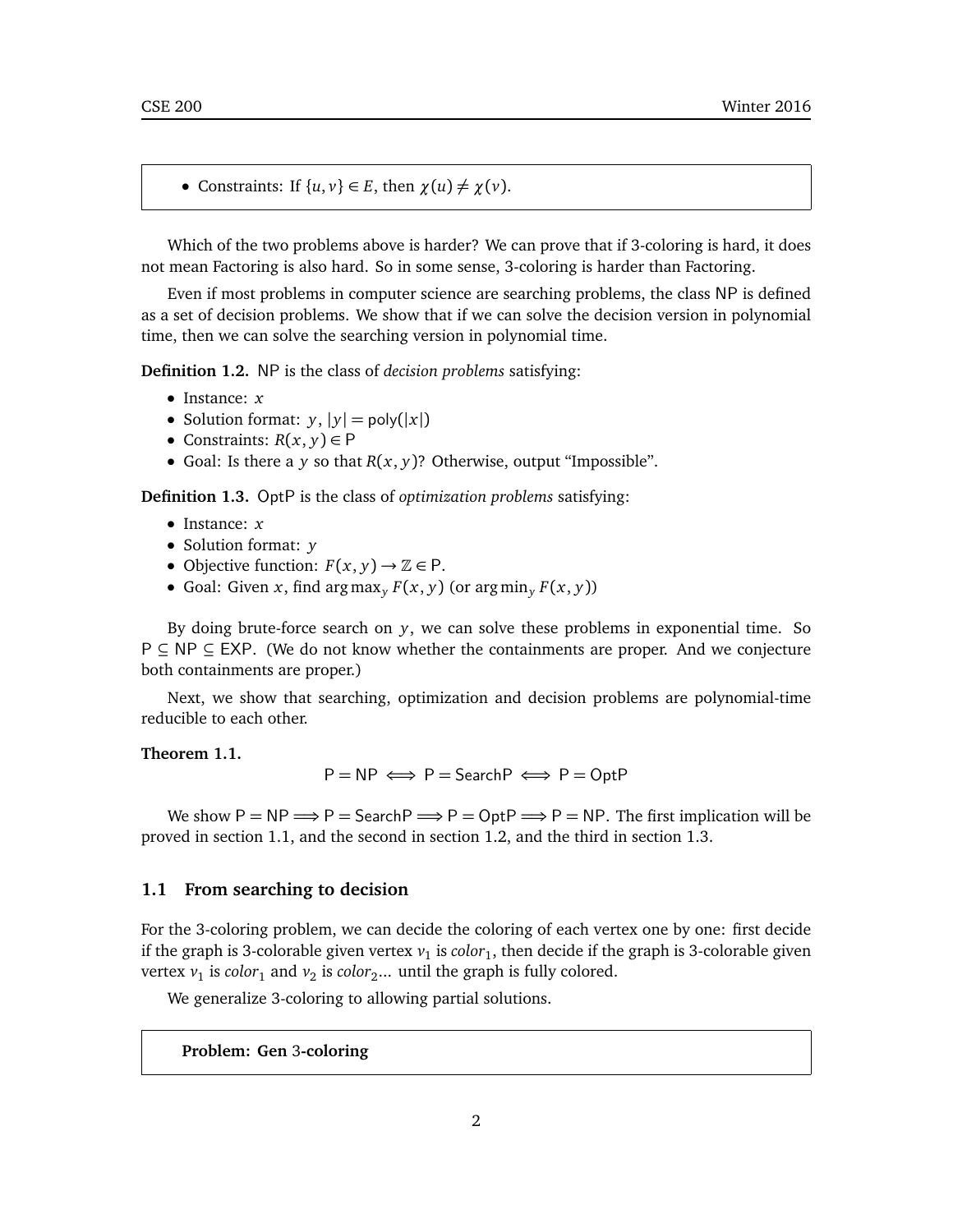• Constraints: If  $\{u, v\} \in E$ , then  $\chi(u) \neq \chi(v)$ .

Which of the two problems above is harder? We can prove that if 3-coloring is hard, it does not mean Factoring is also hard. So in some sense, 3-coloring is harder than Factoring.

Even if most problems in computer science are searching problems, the class NP is defined as a set of decision problems. We show that if we can solve the decision version in polynomial time, then we can solve the searching version in polynomial time.

**Definition 1.2.** NP is the class of *decision problems* satisfying:

- Instance: *x*
- Solution format:  $y$ ,  $|y| = \text{poly}(|x|)$
- Constraints:  $R(x, y) \in P$
- Goal: Is there a *y* so that  $R(x, y)$ ? Otherwise, output "Impossible".

**Definition 1.3.** OptP is the class of *optimization problems* satisfying:

- Instance: *x*
- Solution format: *y*
- Objective function:  $F(x, y) \rightarrow \mathbb{Z} \in P$ .
- Goal: Given *x*, find arg max<sub>*y*</sub>  $F(x, y)$  (or arg min<sub>*y*</sub>  $F(x, y)$ )

By doing brute-force search on *y*, we can solve these problems in exponential time. So P ⊆ NP ⊆ EXP. (We do not know whether the containments are proper. And we conjecture both containments are proper.)

Next, we show that searching, optimization and decision problems are polynomial-time reducible to each other.

# **Theorem 1.1.**

$$
P = NP \iff P = SearchP \iff P = OptP
$$

We show  $P = NP \Longrightarrow P =$  Search  $P \Longrightarrow P = OptP \Longrightarrow P = NP$ . The first implication will be proved in section 1.1, and the second in section 1.2, and the third in section 1.3.

### **1.1 From searching to decision**

For the 3-coloring problem, we can decide the coloring of each vertex one by one: first decide if the graph is 3-colorable given vertex  $v_1$  is  $color_1$ , then decide if the graph is 3-colorable given vertex  $v_1$  is *color*<sub>1</sub> and  $v_2$  is *color*<sub>2</sub>... until the graph is fully colored.

We generalize 3-coloring to allowing partial solutions.

**Problem: Gen** 3**-coloring**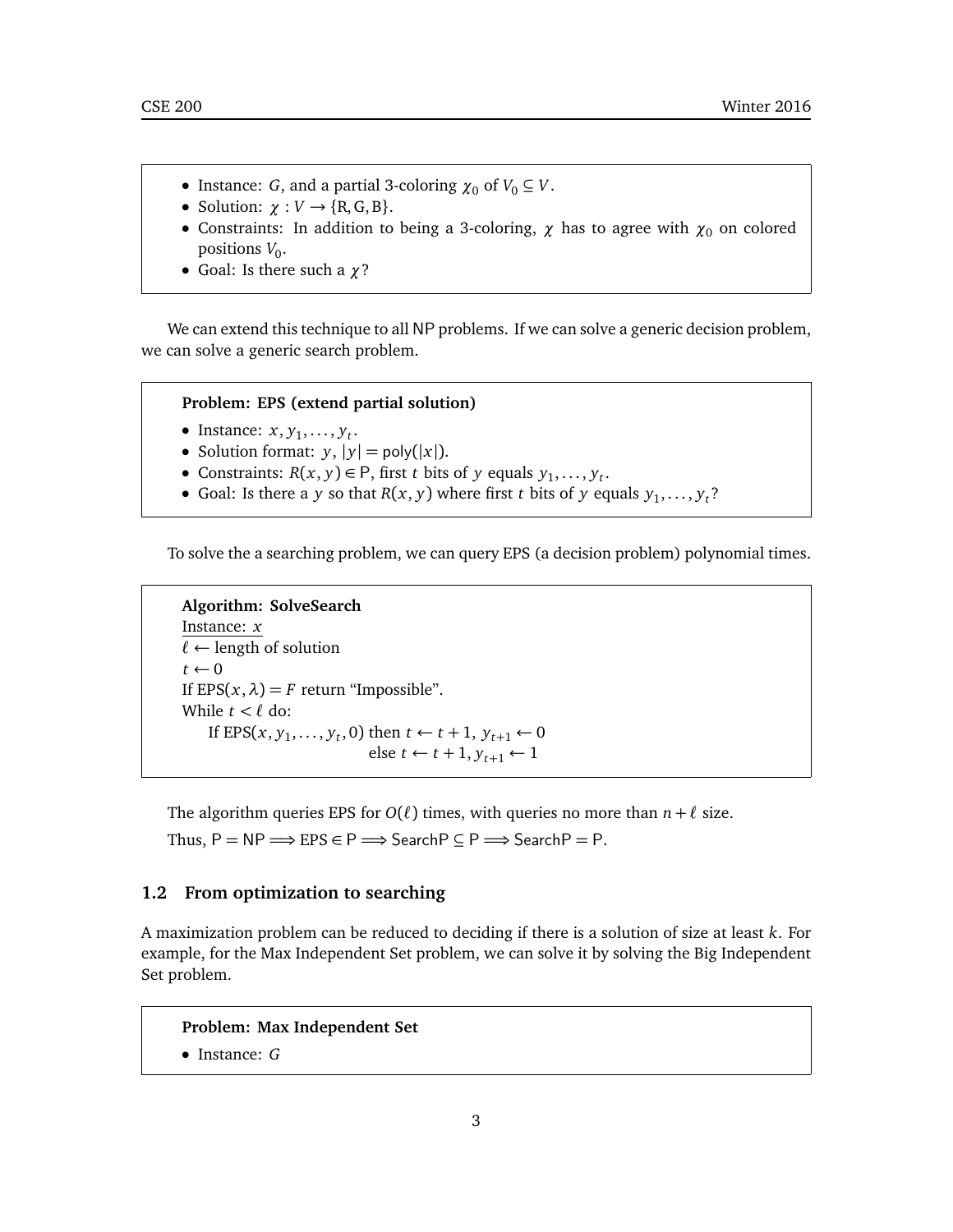- Instance: *G*, and a partial 3-coloring  $\chi_0$  of  $V_0 \subseteq V$ .
- Solution:  $\chi : V \to \{R, G, B\}.$
- Constraints: In addition to being a 3-coloring,  $\chi$  has to agree with  $\chi_0$  on colored positions *V*<sub>0</sub>.
- Goal: Is there such a *χ*?

We can extend this technique to all NP problems. If we can solve a generic decision problem, we can solve a generic search problem.

#### **Problem: EPS (extend partial solution)**

- Instance:  $x, y_1, \ldots, y_t$ .
- Solution format:  $y$ ,  $|y| = \text{poly}(|x|)$ .
- Constraints:  $R(x, y) \in P$ , first *t* bits of *y* equals  $y_1, \ldots, y_t$ .
- Goal: Is there a *y* so that *R*(*x*, *y*) where first *t* bits of *y* equals  $y_1, \ldots, y_t$ ?

To solve the a searching problem, we can query EPS (a decision problem) polynomial times.

```
Algorithm: SolveSearch
Instance: x
\ell \leftarrow length of solution
t \leftarrow 0If EPS(x, \lambda) = F return "Impossible".
While t < \ell do:
     If EPS(x, y_1, \ldots, y_t, 0) then t \leftarrow t+1, y_{t+1} \leftarrow 0else t ← t + 1, y_{t+1} ← 1
```
The algorithm queries EPS for  $O(\ell)$  times, with queries no more than  $n + \ell$  size.

Thus,  $P = NP \implies EPS \in P \implies$  Search  $P \subseteq P \implies$  Search  $P = P$ .

# **1.2 From optimization to searching**

A maximization problem can be reduced to deciding if there is a solution of size at least *k*. For example, for the Max Independent Set problem, we can solve it by solving the Big Independent Set problem.

**Problem: Max Independent Set**

• Instance: *G*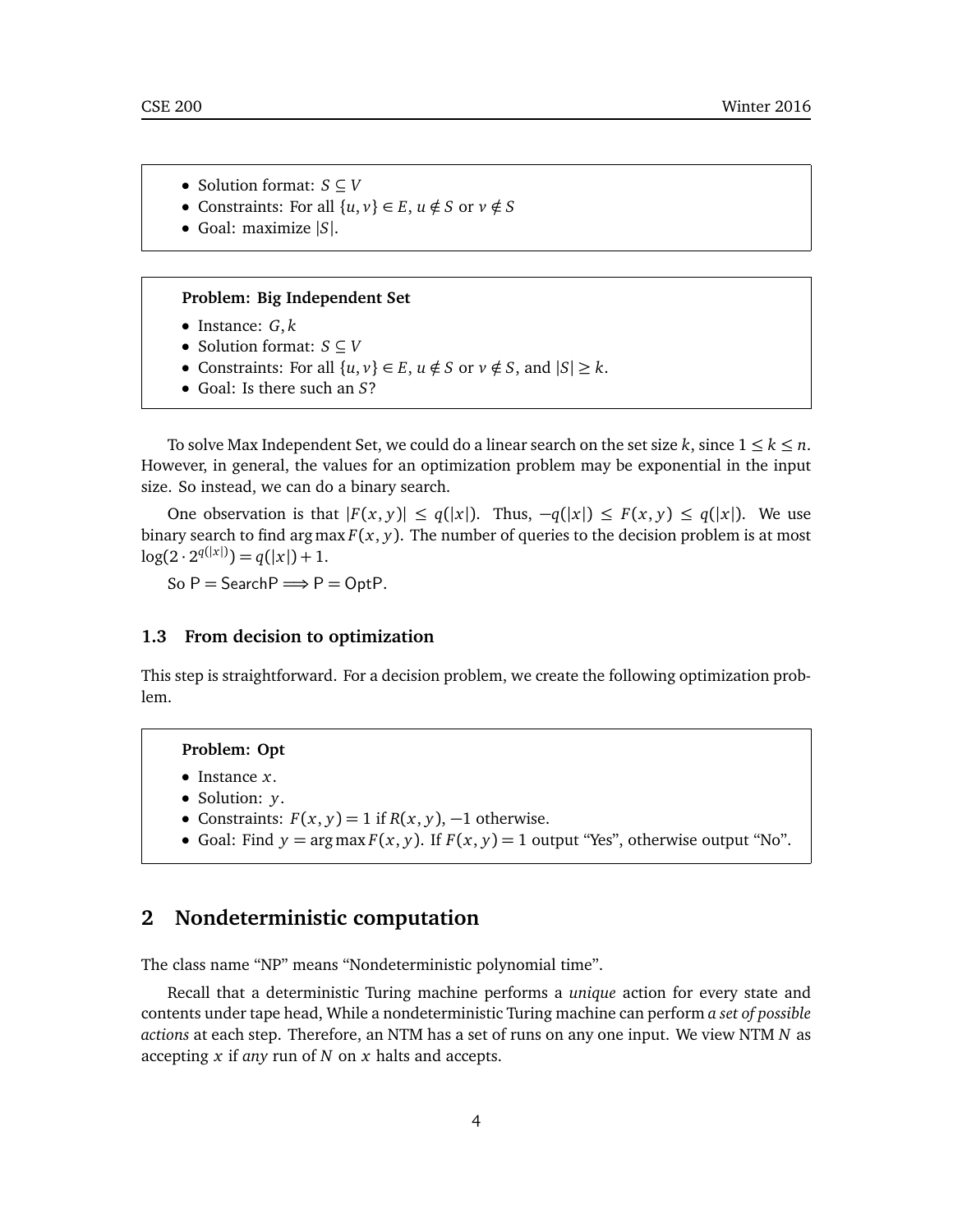- Solution format: *S* ⊆ *V*
- Constraints: For all  $\{u, v\} \in E$ ,  $u \notin S$  or  $v \notin S$
- Goal: maximize |*S*|.

#### **Problem: Big Independent Set**

- Instance: *G*, *k*
- Solution format: *S* ⊆ *V*
- Constraints: For all  $\{u, v\} \in E$ ,  $u \notin S$  or  $v \notin S$ , and  $|S| \ge k$ .
- Goal: Is there such an *S*?

To solve Max Independent Set, we could do a linear search on the set size  $k$ , since  $1 \leq k \leq n$ . However, in general, the values for an optimization problem may be exponential in the input size. So instead, we can do a binary search.

One observation is that  $|F(x, y)| \leq q(|x|)$ . Thus,  $-q(|x|) \leq F(x, y) \leq q(|x|)$ . We use binary search to find argmax  $F(x, y)$ . The number of queries to the decision problem is at most  $log(2 \cdot 2^{q(|x|)}) = q(|x|) + 1.$ 

So  $P =$  Search  $P \implies P =$  Opt $P$ .

### **1.3 From decision to optimization**

This step is straightforward. For a decision problem, we create the following optimization problem.

## **Problem: Opt**

- Instance *x*.
- Solution: *y*.
- Constraints:  $F(x, y) = 1$  if  $R(x, y)$ ,  $-1$  otherwise.
- Goal: Find  $y = \arg \max F(x, y)$ . If  $F(x, y) = 1$  output "Yes", otherwise output "No".

# **2 Nondeterministic computation**

The class name "NP" means "Nondeterministic polynomial time".

Recall that a deterministic Turing machine performs a *unique* action for every state and contents under tape head, While a nondeterministic Turing machine can perform *a set of possible actions* at each step. Therefore, an NTM has a set of runs on any one input. We view NTM *N* as accepting *x* if *any* run of *N* on *x* halts and accepts.